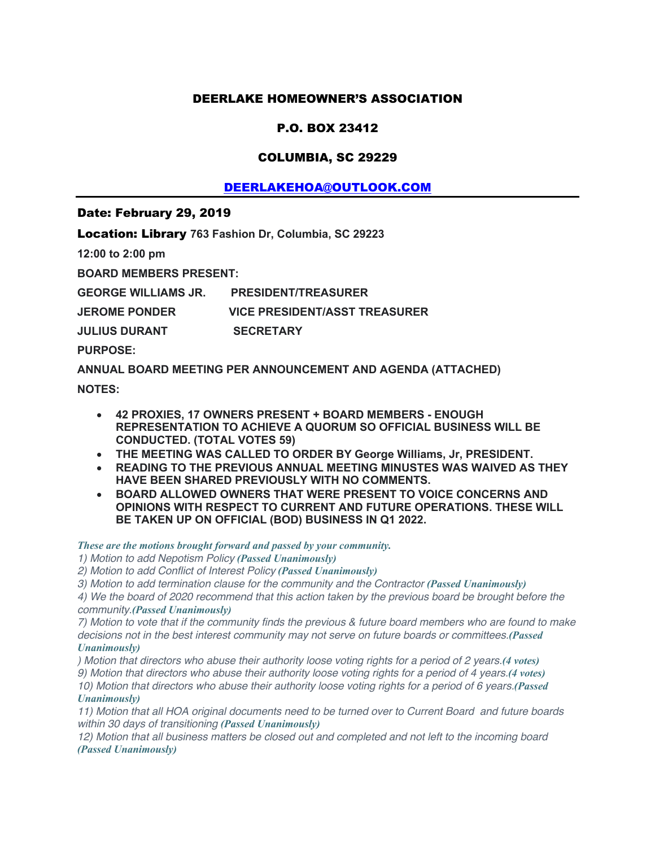## DEERLAKE HOMEOWNER'S ASSOCIATION

# P.O. BOX 23412

## COLUMBIA, SC 29229

# DEERLAKEHOA@OUTLOOK.COM

#### Date: February 29, 2019

Location: Library **763 Fashion Dr, Columbia, SC 29223**

**12:00 to 2:00 pm**

**BOARD MEMBERS PRESENT:**

**GEORGE WILLIAMS JR. PRESIDENT/TREASURER**

**JEROME PONDER VICE PRESIDENT/ASST TREASURER**

**JULIUS DURANT SECRETARY** 

**PURPOSE:**

**ANNUAL BOARD MEETING PER ANNOUNCEMENT AND AGENDA (ATTACHED) NOTES:**

- **42 PROXIES, 17 OWNERS PRESENT + BOARD MEMBERS - ENOUGH REPRESENTATION TO ACHIEVE A QUORUM SO OFFICIAL BUSINESS WILL BE CONDUCTED. (TOTAL VOTES 59)**
- **THE MEETING WAS CALLED TO ORDER BY George Williams, Jr, PRESIDENT.**
- **READING TO THE PREVIOUS ANNUAL MEETING MINUSTES WAS WAIVED AS THEY HAVE BEEN SHARED PREVIOUSLY WITH NO COMMENTS.**
- **BOARD ALLOWED OWNERS THAT WERE PRESENT TO VOICE CONCERNS AND OPINIONS WITH RESPECT TO CURRENT AND FUTURE OPERATIONS. THESE WILL BE TAKEN UP ON OFFICIAL (BOD) BUSINESS IN Q1 2022.**

*These are the motions brought forward and passed by your community.*

*1) Motion to add Nepotism Policy (Passed Unanimously)*

*2) Motion to add Conflict of Interest Policy (Passed Unanimously)*

*3) Motion to add termination clause for the community and the Contractor (Passed Unanimously)*

*4) We the board of 2020 recommend that this action taken by the previous board be brought before the community.(Passed Unanimously)*

*7) Motion to vote that if the community finds the previous & future board members who are found to make decisions not in the best interest community may not serve on future boards or committees.(Passed Unanimously)*

*) Motion that directors who abuse their authority loose voting rights for a period of 2 years.(4 votes) 9) Motion that directors who abuse their authority loose voting rights for a period of 4 years.(4 votes) 10) Motion that directors who abuse their authority loose voting rights for a period of 6 years.(Passed*

#### *Unanimously)*

*11) Motion that all HOA original documents need to be turned over to Current Board and future boards within 30 days of transitioning (Passed Unanimously)*

*12) Motion that all business matters be closed out and completed and not left to the incoming board (Passed Unanimously)*